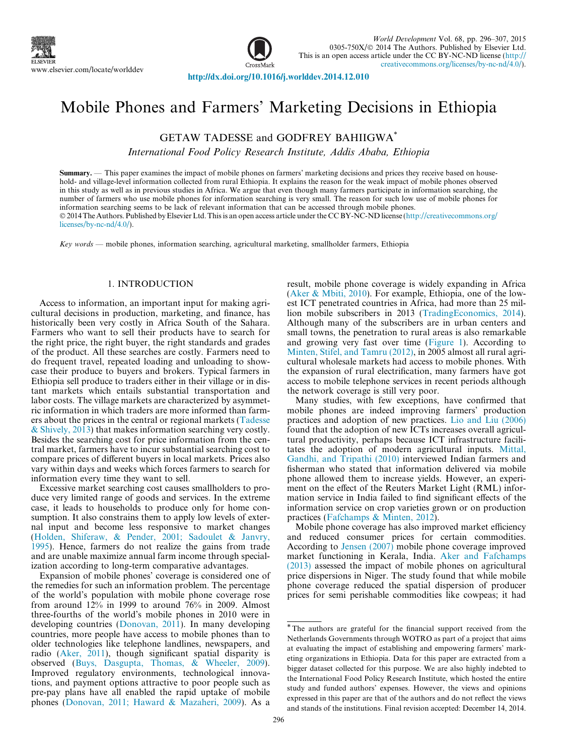<http://dx.doi.org/10.1016/j.worlddev.2014.12.010>

# Mobile Phones and Farmers' Marketing Decisions in Ethiopia

GETAW TADESSE and GODFREY BAHIIGWA\*

International Food Policy Research Institute, Addis Ababa, Ethiopia

Summary. — This paper examines the impact of mobile phones on farmers' marketing decisions and prices they receive based on household- and village-level information collected from rural Ethiopia. It explains the reason for the weak impact of mobile phones observed in this study as well as in previous studies in Africa. We argue that even though many farmers participate in information searching, the number of farmers who use mobile phones for information searching is very small. The reason for such low use of mobile phones for information searching seems to be lack of relevant information that can be accessed through mobile phones. © 2014 The Authors. Published by Elsevier Ltd. This is an open access article under the CC BY-NC-ND license ([http://creativecommons.org/](http://creativecommons.org/licenses/by-nc-nd/4.0/) [licenses/by-nc-nd/4.0/\)](http://creativecommons.org/licenses/by-nc-nd/4.0/).

Key words — mobile phones, information searching, agricultural marketing, smallholder farmers, Ethiopia

# 1. INTRODUCTION

Access to information, an important input for making agricultural decisions in production, marketing, and finance, has historically been very costly in Africa South of the Sahara. Farmers who want to sell their products have to search for the right price, the right buyer, the right standards and grades of the product. All these searches are costly. Farmers need to do frequent travel, repeated loading and unloading to showcase their produce to buyers and brokers. Typical farmers in Ethiopia sell produce to traders either in their village or in distant markets which entails substantial transportation and labor costs. The village markets are characterized by asymmetric information in which traders are more informed than farmers about the prices in the central or regional markets ([Tadesse](#page-10-0) [& Shively, 2013](#page-10-0)) that makes information searching very costly. Besides the searching cost for price information from the central market, farmers have to incur substantial searching cost to compare prices of different buyers in local markets. Prices also vary within days and weeks which forces farmers to search for information every time they want to sell.

Excessive market searching cost causes smallholders to produce very limited range of goods and services. In the extreme case, it leads to households to produce only for home consumption. It also constrains them to apply low levels of external input and become less responsive to market changes ([Holden, Shiferaw, & Pender, 2001; Sadoulet & Janvry,](#page-9-0) [1995\)](#page-9-0). Hence, farmers do not realize the gains from trade and are unable maximize annual farm income through specialization according to long-term comparative advantages.

Expansion of mobile phones' coverage is considered one of the remedies for such an information problem. The percentage of the world's population with mobile phone coverage rose from around 12% in 1999 to around 76% in 2009. Almost three-fourths of the world's mobile phones in 2010 were in developing countries ([Donovan, 2011\)](#page-9-0). In many developing countries, more people have access to mobile phones than to older technologies like telephone landlines, newspapers, and radio [\(Aker, 2011\)](#page-9-0), though significant spatial disparity is observed [\(Buys, Dasgupta, Thomas, & Wheeler, 2009](#page-9-0)). Improved regulatory environments, technological innovations, and payment options attractive to poor people such as pre-pay plans have all enabled the rapid uptake of mobile phones ([Donovan, 2011; Haward & Mazaheri, 2009\)](#page-9-0). As a

result, mobile phone coverage is widely expanding in Africa ([Aker & Mbiti, 2010](#page-9-0)). For example, Ethiopia, one of the lowest ICT penetrated countries in Africa, had more than 25 million mobile subscribers in 2013 ([TradingEconomics, 2014](#page-10-0)). Although many of the subscribers are in urban centers and small towns, the penetration to rural areas is also remarkable and growing very fast over time [\(Figure 1](#page-1-0)). According to [Minten, Stifel, and Tamru \(2012\)](#page-10-0), in 2005 almost all rural agricultural wholesale markets had access to mobile phones. With the expansion of rural electrification, many farmers have got access to mobile telephone services in recent periods although the network coverage is still very poor.

Many studies, with few exceptions, have confirmed that mobile phones are indeed improving farmers' production practices and adoption of new practices. [Lio and Liu \(2006\)](#page-9-0) found that the adoption of new ICTs increases overall agricultural productivity, perhaps because ICT infrastructure facilitates the adoption of modern agricultural inputs. [Mittal,](#page-10-0) [Gandhi, and Tripathi \(2010\)](#page-10-0) interviewed Indian farmers and fisherman who stated that information delivered via mobile phone allowed them to increase yields. However, an experiment on the effect of the Reuters Market Light (RML) information service in India failed to find significant effects of the information service on crop varieties grown or on production practices [\(Fafchamps & Minten, 2012](#page-9-0)).

Mobile phone coverage has also improved market efficiency and reduced consumer prices for certain commodities. According to [Jensen \(2007\)](#page-9-0) mobile phone coverage improved market functioning in Kerala, India. [Aker and Fafchamps](#page-9-0) [\(2013\)](#page-9-0) assessed the impact of mobile phones on agricultural price dispersions in Niger. The study found that while mobile phone coverage reduced the spatial dispersion of producer prices for semi perishable commodities like cowpeas; it had

<sup>\*</sup>The authors are grateful for the financial support received from the Netherlands Governments through WOTRO as part of a project that aims at evaluating the impact of establishing and empowering farmers' marketing organizations in Ethiopia. Data for this paper are extracted from a bigger dataset collected for this purpose. We are also highly indebted to the International Food Policy Research Institute, which hosted the entire study and funded authors' expenses. However, the views and opinions expressed in this paper are that of the authors and do not reflect the views and stands of the institutions. Final revision accepted: December 14, 2014.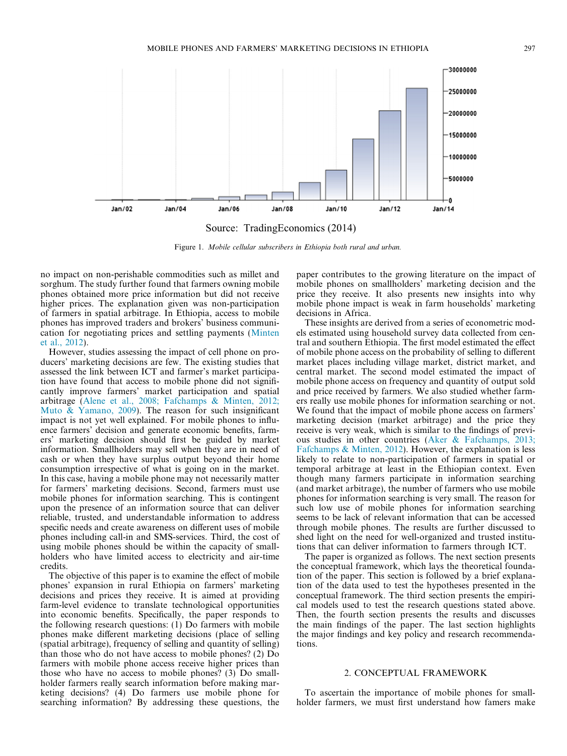<span id="page-1-0"></span>

Source: TradingEconomics (2014)

Figure 1. Mobile cellular subscribers in Ethiopia both rural and urban.

no impact on non-perishable commodities such as millet and sorghum. The study further found that farmers owning mobile phones obtained more price information but did not receive higher prices. The explanation given was non-participation of farmers in spatial arbitrage. In Ethiopia, access to mobile phones has improved traders and brokers' business communication for negotiating prices and settling payments ([Minten](#page-10-0) [et al., 2012](#page-10-0)).

However, studies assessing the impact of cell phone on producers' marketing decisions are few. The existing studies that assessed the link between ICT and farmer's market participation have found that access to mobile phone did not significantly improve farmers' market participation and spatial arbitrage [\(Alene et al., 2008; Fafchamps & Minten, 2012;](#page-9-0) [Muto & Yamano, 2009](#page-9-0)). The reason for such insignificant impact is not yet well explained. For mobile phones to influence farmers' decision and generate economic benefits, farmers' marketing decision should first be guided by market information. Smallholders may sell when they are in need of cash or when they have surplus output beyond their home consumption irrespective of what is going on in the market. In this case, having a mobile phone may not necessarily matter for farmers' marketing decisions. Second, farmers must use mobile phones for information searching. This is contingent upon the presence of an information source that can deliver reliable, trusted, and understandable information to address specific needs and create awareness on different uses of mobile phones including call-in and SMS-services. Third, the cost of using mobile phones should be within the capacity of smallholders who have limited access to electricity and air-time credits.

The objective of this paper is to examine the effect of mobile phones' expansion in rural Ethiopia on farmers' marketing decisions and prices they receive. It is aimed at providing farm-level evidence to translate technological opportunities into economic benefits. Specifically, the paper responds to the following research questions: (1) Do farmers with mobile phones make different marketing decisions (place of selling (spatial arbitrage), frequency of selling and quantity of selling) than those who do not have access to mobile phones? (2) Do farmers with mobile phone access receive higher prices than those who have no access to mobile phones? (3) Do smallholder farmers really search information before making marketing decisions? (4) Do farmers use mobile phone for searching information? By addressing these questions, the paper contributes to the growing literature on the impact of mobile phones on smallholders' marketing decision and the price they receive. It also presents new insights into why mobile phone impact is weak in farm households' marketing decisions in Africa.

These insights are derived from a series of econometric models estimated using household survey data collected from central and southern Ethiopia. The first model estimated the effect of mobile phone access on the probability of selling to different market places including village market, district market, and central market. The second model estimated the impact of mobile phone access on frequency and quantity of output sold and price received by farmers. We also studied whether farmers really use mobile phones for information searching or not. We found that the impact of mobile phone access on farmers' marketing decision (market arbitrage) and the price they receive is very weak, which is similar to the findings of previous studies in other countries ([Aker & Fafchamps, 2013;](#page-9-0) [Fafchamps & Minten, 2012](#page-9-0)). However, the explanation is less likely to relate to non-participation of farmers in spatial or temporal arbitrage at least in the Ethiopian context. Even though many farmers participate in information searching (and market arbitrage), the number of farmers who use mobile phones for information searching is very small. The reason for such low use of mobile phones for information searching seems to be lack of relevant information that can be accessed through mobile phones. The results are further discussed to shed light on the need for well-organized and trusted institutions that can deliver information to farmers through ICT.

The paper is organized as follows. The next section presents the conceptual framework, which lays the theoretical foundation of the paper. This section is followed by a brief explanation of the data used to test the hypotheses presented in the conceptual framework. The third section presents the empirical models used to test the research questions stated above. Then, the fourth section presents the results and discusses the main findings of the paper. The last section highlights the major findings and key policy and research recommendations.

### 2. CONCEPTUAL FRAMEWORK

To ascertain the importance of mobile phones for smallholder farmers, we must first understand how famers make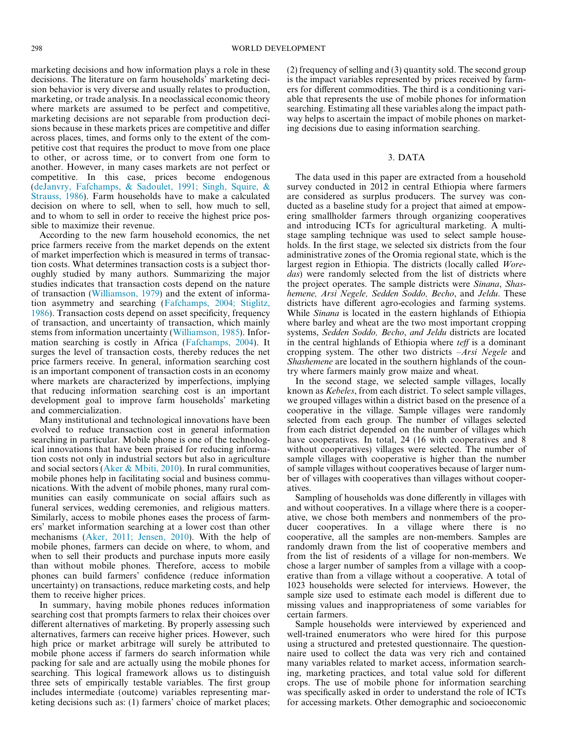marketing decisions and how information plays a role in these decisions. The literature on farm households' marketing decision behavior is very diverse and usually relates to production, marketing, or trade analysis. In a neoclassical economic theory where markets are assumed to be perfect and competitive, marketing decisions are not separable from production decisions because in these markets prices are competitive and differ across places, times, and forms only to the extent of the competitive cost that requires the product to move from one place to other, or across time, or to convert from one form to another. However, in many cases markets are not perfect or competitive. In this case, prices become endogenous ([deJanvry, Fafchamps, & Sadoulet, 1991; Singh, Squire, &](#page-9-0) [Strauss, 1986](#page-9-0)). Farm households have to make a calculated decision on where to sell, when to sell, how much to sell, and to whom to sell in order to receive the highest price possible to maximize their revenue.

According to the new farm household economics, the net price farmers receive from the market depends on the extent of market imperfection which is measured in terms of transaction costs. What determines transaction costs is a subject thoroughly studied by many authors. Summarizing the major studies indicates that transaction costs depend on the nature of transaction [\(Williamson, 1979\)](#page-10-0) and the extent of information asymmetry and searching ([Fafchamps, 2004; Stiglitz,](#page-9-0) [1986\)](#page-9-0). Transaction costs depend on asset specificity, frequency of transaction, and uncertainty of transaction, which mainly stems from information uncertainty ([Williamson, 1985\)](#page-10-0). Information searching is costly in Africa ([Fafchamps, 2004](#page-9-0)). It surges the level of transaction costs, thereby reduces the net price farmers receive. In general, information searching cost is an important component of transaction costs in an economy where markets are characterized by imperfections, implying that reducing information searching cost is an important development goal to improve farm households' marketing and commercialization.

Many institutional and technological innovations have been evolved to reduce transaction cost in general information searching in particular. Mobile phone is one of the technological innovations that have been praised for reducing information costs not only in industrial sectors but also in agriculture and social sectors ([Aker & Mbiti, 2010](#page-9-0)). In rural communities, mobile phones help in facilitating social and business communications. With the advent of mobile phones, many rural communities can easily communicate on social affairs such as funeral services, wedding ceremonies, and religious matters. Similarly, access to mobile phones eases the process of farmers' market information searching at a lower cost than other mechanisms [\(Aker, 2011; Jensen, 2010](#page-9-0)). With the help of mobile phones, farmers can decide on where, to whom, and when to sell their products and purchase inputs more easily than without mobile phones. Therefore, access to mobile phones can build farmers' confidence (reduce information uncertainty) on transactions, reduce marketing costs, and help them to receive higher prices.

In summary, having mobile phones reduces information searching cost that prompts farmers to relax their choices over different alternatives of marketing. By properly assessing such alternatives, farmers can receive higher prices. However, such high price or market arbitrage will surely be attributed to mobile phone access if farmers do search information while packing for sale and are actually using the mobile phones for searching. This logical framework allows us to distinguish three sets of empirically testable variables. The first group includes intermediate (outcome) variables representing marketing decisions such as: (1) farmers' choice of market places; (2) frequency of selling and (3) quantity sold. The second group is the impact variables represented by prices received by farmers for different commodities. The third is a conditioning variable that represents the use of mobile phones for information searching. Estimating all these variables along the impact pathway helps to ascertain the impact of mobile phones on marketing decisions due to easing information searching.

# 3. DATA

The data used in this paper are extracted from a household survey conducted in 2012 in central Ethiopia where farmers are considered as surplus producers. The survey was conducted as a baseline study for a project that aimed at empowering smallholder farmers through organizing cooperatives and introducing ICTs for agricultural marketing. A multistage sampling technique was used to select sample households. In the first stage, we selected six districts from the four administrative zones of the Oromia regional state, which is the largest region in Ethiopia. The districts (locally called Woredas) were randomly selected from the list of districts where the project operates. The sample districts were Sinana, Shashemene, Arsi Negele, Sedden Soddo, Becho, and Jeldu. These districts have different agro-ecologies and farming systems. While *Sinana* is located in the eastern highlands of Ethiopia where barley and wheat are the two most important cropping systems, Sedden Soddo, Becho, and Jeldu districts are located in the central highlands of Ethiopia where teff is a dominant cropping system. The other two districts –Arsi Negele and Shashemene are located in the southern highlands of the country where farmers mainly grow maize and wheat.

In the second stage, we selected sample villages, locally known as Kebeles, from each district. To select sample villages, we grouped villages within a district based on the presence of a cooperative in the village. Sample villages were randomly selected from each group. The number of villages selected from each district depended on the number of villages which have cooperatives. In total, 24 (16 with cooperatives and 8 without cooperatives) villages were selected. The number of sample villages with cooperative is higher than the number of sample villages without cooperatives because of larger number of villages with cooperatives than villages without cooperatives.

Sampling of households was done differently in villages with and without cooperatives. In a village where there is a cooperative, we chose both members and nonmembers of the producer cooperatives. In a village where there is no cooperative, all the samples are non-members. Samples are randomly drawn from the list of cooperative members and from the list of residents of a village for non-members. We chose a larger number of samples from a village with a cooperative than from a village without a cooperative. A total of 1023 households were selected for interviews. However, the sample size used to estimate each model is different due to missing values and inappropriateness of some variables for certain farmers.

Sample households were interviewed by experienced and well-trained enumerators who were hired for this purpose using a structured and pretested questionnaire. The questionnaire used to collect the data was very rich and contained many variables related to market access, information searching, marketing practices, and total value sold for different crops. The use of mobile phone for information searching was specifically asked in order to understand the role of ICTs for accessing markets. Other demographic and socioeconomic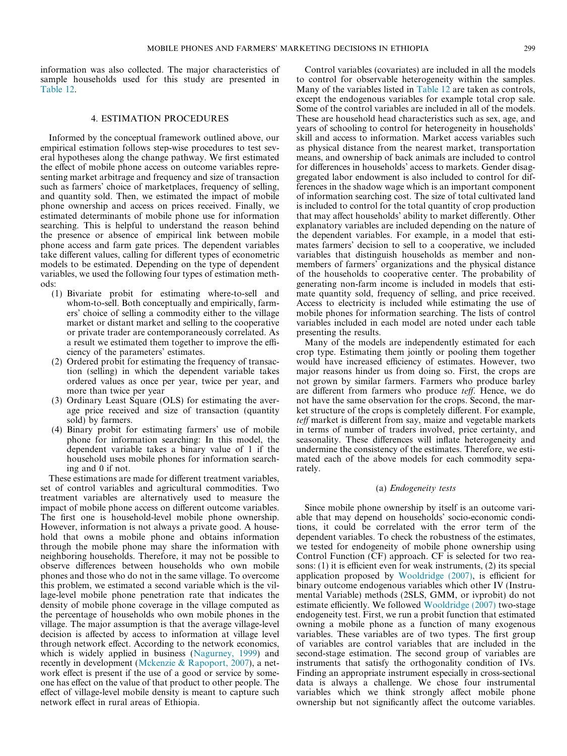information was also collected. The major characteristics of sample households used for this study are presented in [Table 12](#page-10-0).

# 4. ESTIMATION PROCEDURES

Informed by the conceptual framework outlined above, our empirical estimation follows step-wise procedures to test several hypotheses along the change pathway. We first estimated the effect of mobile phone access on outcome variables representing market arbitrage and frequency and size of transaction such as farmers' choice of marketplaces, frequency of selling, and quantity sold. Then, we estimated the impact of mobile phone ownership and access on prices received. Finally, we estimated determinants of mobile phone use for information searching. This is helpful to understand the reason behind the presence or absence of empirical link between mobile phone access and farm gate prices. The dependent variables take different values, calling for different types of econometric models to be estimated. Depending on the type of dependent variables, we used the following four types of estimation methods:

- (1) Bivariate probit for estimating where-to-sell and whom-to-sell. Both conceptually and empirically, farmers' choice of selling a commodity either to the village market or distant market and selling to the cooperative or private trader are contemporaneously correlated. As a result we estimated them together to improve the efficiency of the parameters' estimates.
- (2) Ordered probit for estimating the frequency of transaction (selling) in which the dependent variable takes ordered values as once per year, twice per year, and more than twice per year
- (3) Ordinary Least Square (OLS) for estimating the average price received and size of transaction (quantity sold) by farmers.
- (4) Binary probit for estimating farmers' use of mobile phone for information searching: In this model, the dependent variable takes a binary value of 1 if the household uses mobile phones for information searching and 0 if not.

These estimations are made for different treatment variables, set of control variables and agricultural commodities. Two treatment variables are alternatively used to measure the impact of mobile phone access on different outcome variables. The first one is household-level mobile phone ownership. However, information is not always a private good. A household that owns a mobile phone and obtains information through the mobile phone may share the information with neighboring households. Therefore, it may not be possible to observe differences between households who own mobile phones and those who do not in the same village. To overcome this problem, we estimated a second variable which is the village-level mobile phone penetration rate that indicates the density of mobile phone coverage in the village computed as the percentage of households who own mobile phones in the village. The major assumption is that the average village-level decision is affected by access to information at village level through network effect. According to the network economics, which is widely applied in business [\(Nagurney, 1999](#page-10-0)) and recently in development [\(Mckenzie & Rapoport, 2007\)](#page-10-0), a network effect is present if the use of a good or service by someone has effect on the value of that product to other people. The effect of village-level mobile density is meant to capture such network effect in rural areas of Ethiopia.

Control variables (covariates) are included in all the models to control for observable heterogeneity within the samples. Many of the variables listed in [Table 12](#page-10-0) are taken as controls, except the endogenous variables for example total crop sale. Some of the control variables are included in all of the models. These are household head characteristics such as sex, age, and years of schooling to control for heterogeneity in households' skill and access to information. Market access variables such as physical distance from the nearest market, transportation means, and ownership of back animals are included to control for differences in households' access to markets. Gender disaggregated labor endowment is also included to control for differences in the shadow wage which is an important component of information searching cost. The size of total cultivated land is included to control for the total quantity of crop production that may affect households' ability to market differently. Other explanatory variables are included depending on the nature of the dependent variables. For example, in a model that estimates farmers' decision to sell to a cooperative, we included variables that distinguish households as member and nonmembers of farmers' organizations and the physical distance of the households to cooperative center. The probability of generating non-farm income is included in models that estimate quantity sold, frequency of selling, and price received. Access to electricity is included while estimating the use of mobile phones for information searching. The lists of control variables included in each model are noted under each table presenting the results.

Many of the models are independently estimated for each crop type. Estimating them jointly or pooling them together would have increased efficiency of estimates. However, two major reasons hinder us from doing so. First, the crops are not grown by similar farmers. Farmers who produce barley are different from farmers who produce teff. Hence, we do not have the same observation for the crops. Second, the market structure of the crops is completely different. For example, teff market is different from say, maize and vegetable markets in terms of number of traders involved, price certainty, and seasonality. These differences will inflate heterogeneity and undermine the consistency of the estimates. Therefore, we estimated each of the above models for each commodity separately.

#### (a) Endogeneity tests

Since mobile phone ownership by itself is an outcome variable that may depend on households' socio-economic conditions, it could be correlated with the error term of the dependent variables. To check the robustness of the estimates, we tested for endogeneity of mobile phone ownership using Control Function (CF) approach. CF is selected for two reasons: (1) it is efficient even for weak instruments, (2) its special application proposed by [Wooldridge \(2007\)](#page-10-0), is efficient for binary outcome endogenous variables which other IV (Instrumental Variable) methods (2SLS, GMM, or ivprobit) do not estimate efficiently. We followed [Wooldridge \(2007\)](#page-10-0) two-stage endogeneity test. First, we run a probit function that estimated owning a mobile phone as a function of many exogenous variables. These variables are of two types. The first group of variables are control variables that are included in the second-stage estimation. The second group of variables are instruments that satisfy the orthogonality condition of IVs. Finding an appropriate instrument especially in cross-sectional data is always a challenge. We chose four instrumental variables which we think strongly affect mobile phone ownership but not significantly affect the outcome variables.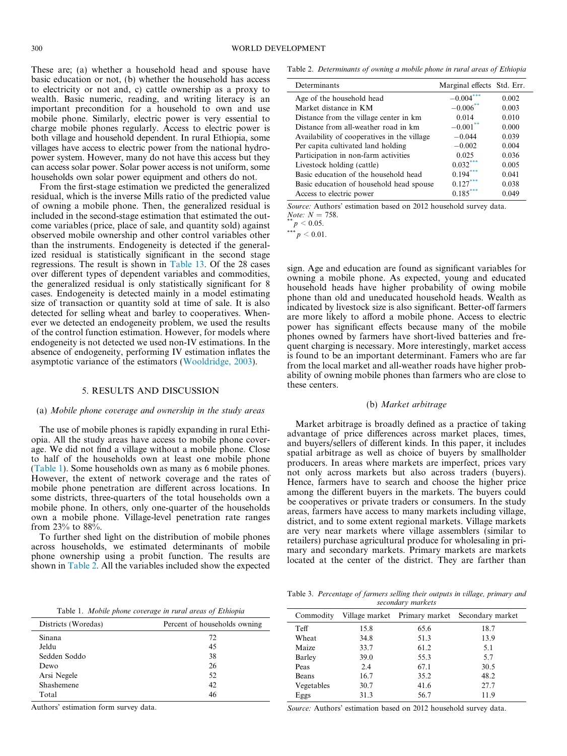<span id="page-4-0"></span>These are; (a) whether a household head and spouse have basic education or not, (b) whether the household has access to electricity or not and, c) cattle ownership as a proxy to wealth. Basic numeric, reading, and writing literacy is an important precondition for a household to own and use mobile phone. Similarly, electric power is very essential to charge mobile phones regularly. Access to electric power is both village and household dependent. In rural Ethiopia, some villages have access to electric power from the national hydropower system. However, many do not have this access but they can access solar power. Solar power access is not uniform, some households own solar power equipment and others do not.

From the first-stage estimation we predicted the generalized residual, which is the inverse Mills ratio of the predicted value of owning a mobile phone. Then, the generalized residual is included in the second-stage estimation that estimated the outcome variables (price, place of sale, and quantity sold) against observed mobile ownership and other control variables other than the instruments. Endogeneity is detected if the generalized residual is statistically significant in the second stage regressions. The result is shown in [Table 13.](#page-11-0) Of the 28 cases over different types of dependent variables and commodities, the generalized residual is only statistically significant for 8 cases. Endogeneity is detected mainly in a model estimating size of transaction or quantity sold at time of sale. It is also detected for selling wheat and barley to cooperatives. Whenever we detected an endogeneity problem, we used the results of the control function estimation. However, for models where endogeneity is not detected we used non-IV estimations. In the absence of endogeneity, performing IV estimation inflates the asymptotic variance of the estimators [\(Wooldridge, 2003\)](#page-10-0).

# 5. RESULTS AND DISCUSSION

#### (a) Mobile phone coverage and ownership in the study areas

The use of mobile phones is rapidly expanding in rural Ethiopia. All the study areas have access to mobile phone coverage. We did not find a village without a mobile phone. Close to half of the households own at least one mobile phone (Table 1). Some households own as many as 6 mobile phones. However, the extent of network coverage and the rates of mobile phone penetration are different across locations. In some districts, three-quarters of the total households own a mobile phone. In others, only one-quarter of the households own a mobile phone. Village-level penetration rate ranges from 23% to 88%.

To further shed light on the distribution of mobile phones across households, we estimated determinants of mobile phone ownership using a probit function. The results are shown in Table 2. All the variables included show the expected

Table 2. Determinants of owning a mobile phone in rural areas of Ethiopia

| Determinants                                 | Marginal effects Std. Err. |       |
|----------------------------------------------|----------------------------|-------|
| Age of the household head                    | $-0.004$                   | 0.002 |
| Market distance in KM                        | $-0.006$ **                | 0.003 |
| Distance from the village center in km       | 0.014                      | 0.010 |
| Distance from all-weather road in km         | $-0.001$ **                | 0.000 |
| Availability of cooperatives in the village. | $-0.044$                   | 0.039 |
| Per capita cultivated land holding           | $-0.002$                   | 0.004 |
| Participation in non-farm activities         | 0.025                      | 0.036 |
| Livestock holding (cattle)                   | $0.032***$                 | 0.005 |
| Basic education of the household head        | 0.194                      | 0.041 |
| Basic education of household head spouse     | $0.127***$                 | 0.038 |
| Access to electric power                     | $0.185***$                 | 0.049 |

Source: Authors' estimation based on 2012 household survey data.

```
Note: N = 758.<br>** p < 0.05.
```
 $*** p < 0.01$ .

sign. Age and education are found as significant variables for owning a mobile phone. As expected, young and educated household heads have higher probability of owing mobile phone than old and uneducated household heads. Wealth as indicated by livestock size is also significant. Better-off farmers are more likely to afford a mobile phone. Access to electric power has significant effects because many of the mobile phones owned by farmers have short-lived batteries and frequent charging is necessary. More interestingly, market access is found to be an important determinant. Famers who are far from the local market and all-weather roads have higher probability of owning mobile phones than farmers who are close to these centers.

#### (b) Market arbitrage

Market arbitrage is broadly defined as a practice of taking advantage of price differences across market places, times, and buyers/sellers of different kinds. In this paper, it includes spatial arbitrage as well as choice of buyers by smallholder producers. In areas where markets are imperfect, prices vary not only across markets but also across traders (buyers). Hence, farmers have to search and choose the higher price among the different buyers in the markets. The buyers could be cooperatives or private traders or consumers. In the study areas, farmers have access to many markets including village, district, and to some extent regional markets. Village markets are very near markets where village assemblers (similar to retailers) purchase agricultural produce for wholesaling in primary and secondary markets. Primary markets are markets located at the center of the district. They are farther than

|  |  |  |  | Table 1. Mobile phone coverage in rural areas of Ethiopia |  |  |  |  |  |  |
|--|--|--|--|-----------------------------------------------------------|--|--|--|--|--|--|
|--|--|--|--|-----------------------------------------------------------|--|--|--|--|--|--|

| Districts (Woredas) | Percent of households owning |
|---------------------|------------------------------|
| Sinana              | 72                           |
| Jeldu               | 45                           |
| Sedden Soddo        | 38                           |
| Dewo                | 26                           |
| Arsi Negele         | 52                           |
| Shashemene          | 42                           |
| Total               | 46                           |

Table 3. Percentage of farmers selling their outputs in village, primary and secondary markets

| Commodity  |      |      | Village market Primary market Secondary market |
|------------|------|------|------------------------------------------------|
| Teff       | 15.8 | 65.6 | 18.7                                           |
| Wheat      | 34.8 | 51.3 | 13.9                                           |
| Maize      | 33.7 | 61.2 | 5.1                                            |
| Barley     | 39.0 | 55.3 | 5.7                                            |
| Peas       | 2.4  | 67.1 | 30.5                                           |
| Beans      | 16.7 | 35.2 | 48.2                                           |
| Vegetables | 30.7 | 41.6 | 27.7                                           |
| Eggs       | 31.3 | 56.7 | 11.9                                           |

Authors' estimation form survey data.

Source: Authors' estimation based on 2012 household survey data.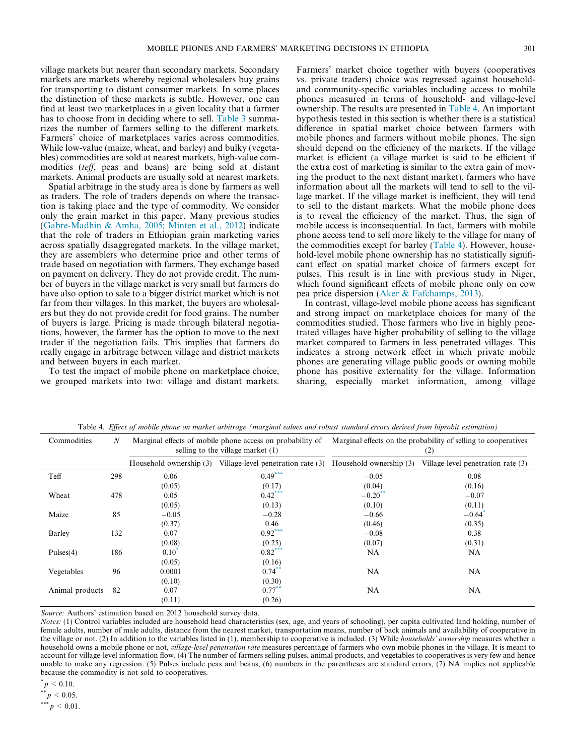<span id="page-5-0"></span>village markets but nearer than secondary markets. Secondary markets are markets whereby regional wholesalers buy grains for transporting to distant consumer markets. In some places the distinction of these markets is subtle. However, one can find at least two marketplaces in a given locality that a farmer has to choose from in deciding where to sell. [Table 3](#page-4-0) summarizes the number of farmers selling to the different markets. Farmers' choice of marketplaces varies across commodities. While low-value (maize, wheat, and barley) and bulky (vegetables) commodities are sold at nearest markets, high-value commodities (teff, peas and beans) are being sold at distant markets. Animal products are usually sold at nearest markets.

Spatial arbitrage in the study area is done by farmers as well as traders. The role of traders depends on where the transaction is taking place and the type of commodity. We consider only the grain market in this paper. Many previous studies ([Gabre-Madhin & Amha, 2005; Minten et al., 2012](#page-9-0)) indicate that the role of traders in Ethiopian grain marketing varies across spatially disaggregated markets. In the village market, they are assemblers who determine price and other terms of trade based on negotiation with farmers. They exchange based on payment on delivery. They do not provide credit. The number of buyers in the village market is very small but farmers do have also option to sale to a bigger district market which is not far from their villages. In this market, the buyers are wholesalers but they do not provide credit for food grains. The number of buyers is large. Pricing is made through bilateral negotiations, however, the farmer has the option to move to the next trader if the negotiation fails. This implies that farmers do really engage in arbitrage between village and district markets and between buyers in each market.

To test the impact of mobile phone on marketplace choice, we grouped markets into two: village and distant markets. Farmers' market choice together with buyers (cooperatives vs. private traders) choice was regressed against householdand community-specific variables including access to mobile phones measured in terms of household- and village-level ownership. The results are presented in Table 4. An important hypothesis tested in this section is whether there is a statistical difference in spatial market choice between farmers with mobile phones and farmers without mobile phones. The sign should depend on the efficiency of the markets. If the village market is efficient (a village market is said to be efficient if the extra cost of marketing is similar to the extra gain of moving the product to the next distant market), farmers who have information about all the markets will tend to sell to the village market. If the village market is inefficient, they will tend to sell to the distant markets. What the mobile phone does is to reveal the efficiency of the market. Thus, the sign of mobile access is inconsequential. In fact, farmers with mobile phone access tend to sell more likely to the village for many of the commodities except for barley (Table 4). However, household-level mobile phone ownership has no statistically significant effect on spatial market choice of farmers except for pulses. This result is in line with previous study in Niger, which found significant effects of mobile phone only on cow pea price dispersion [\(Aker & Fafchamps, 2013](#page-9-0)).

In contrast, village-level mobile phone access has significant and strong impact on marketplace choices for many of the commodities studied. Those farmers who live in highly penetrated villages have higher probability of selling to the village market compared to farmers in less penetrated villages. This indicates a strong network effect in which private mobile phones are generating village public goods or owning mobile phone has positive externality for the village. Information sharing, especially market information, among village

| Commodities     | $\boldsymbol{N}$ | Marginal effects of mobile phone access on probability of<br>selling to the village market $(1)$ |                                    |                         | Marginal effects on the probability of selling to cooperatives<br>(2) |
|-----------------|------------------|--------------------------------------------------------------------------------------------------|------------------------------------|-------------------------|-----------------------------------------------------------------------|
|                 |                  | Household ownership (3)                                                                          | Village-level penetration rate (3) | Household ownership (3) | Village-level penetration rate (3)                                    |
| Teff            | 298              | 0.06                                                                                             | $0.49***$                          | $-0.05$                 | 0.08                                                                  |
|                 |                  | (0.05)                                                                                           | (0.17)                             | (0.04)                  | (0.16)                                                                |
| Wheat           | 478              | 0.05                                                                                             | $0.42***$                          | $-0.20$ <sup>*</sup>    | $-0.07$                                                               |
|                 |                  | (0.05)                                                                                           | (0.13)                             | (0.10)                  | (0.11)                                                                |
| Maize           | 85               | $-0.05$                                                                                          | $-0.28$                            | $-0.66$                 | $-0.64$ <sup>*</sup>                                                  |
|                 |                  | (0.37)                                                                                           | 0.46                               | (0.46)                  | (0.35)                                                                |
| Barley          | 132              | 0.07                                                                                             | $0.92***$                          | $-0.08$                 | 0.38                                                                  |
|                 |                  | (0.08)                                                                                           | (0.25)                             | (0.07)                  | (0.31)                                                                |
| Pulses(4)       | 186              | $0.10^{\circ}$                                                                                   | $0.82***$                          | NA                      | NA.                                                                   |
|                 |                  | (0.05)                                                                                           | (0.16)                             |                         |                                                                       |
| Vegetables      | 96               | 0.0001                                                                                           | $0.74$ **                          | NA                      | <b>NA</b>                                                             |
|                 |                  | (0.10)                                                                                           | (0.30)                             |                         |                                                                       |
| Animal products | -82              | 0.07                                                                                             | $0.77$ **                          | NA                      | <b>NA</b>                                                             |
|                 |                  | (0.11)                                                                                           | (0.26)                             |                         |                                                                       |

Table 4. Effect of mobile phone on market arbitrage (marginal values and robust standard errors derived from biprobit estimation)

Source: Authors' estimation based on 2012 household survey data.

Notes: (1) Control variables included are household head characteristics (sex, age, and years of schooling), per capita cultivated land holding, number of female adults, number of male adults, distance from the nearest market, transportation means, number of back animals and availability of cooperative in the village or not. (2) In addition to the variables listed in (1), membership to cooperative is included. (3) While households' ownership measures whether a household owns a mobile phone or not, village-level penetration rate measures percentage of farmers who own mobile phones in the village. It is meant to account for village-level information flow. (4) The number of farmers selling pulses, animal products, and vegetables to cooperatives is very few and hence unable to make any regression. (5) Pulses include peas and beans, (6) numbers in the parentheses are standard errors, (7) NA implies not applicable because the commodity is not sold to cooperatives.

$$
^{\ast }p\leq 0.10.
$$

$$
^{\ast\ast}p\leq0.05.
$$

 $\overline{f}^* \overline{p}$  < 0.01.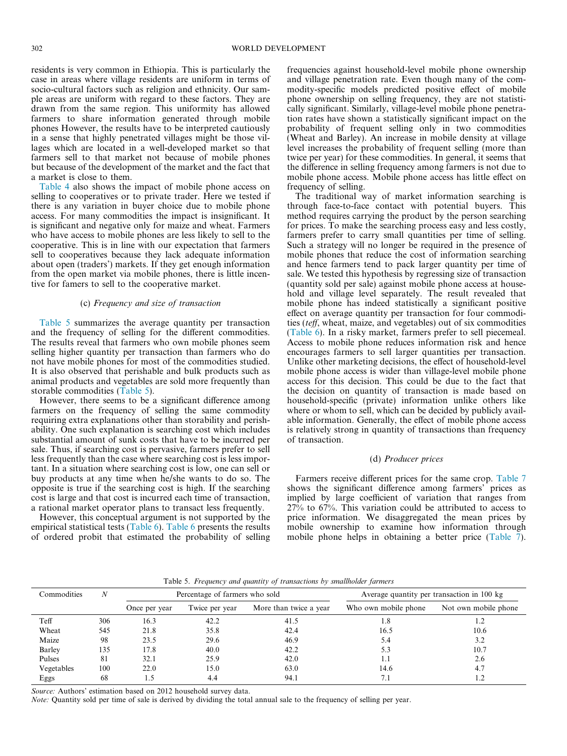residents is very common in Ethiopia. This is particularly the case in areas where village residents are uniform in terms of socio-cultural factors such as religion and ethnicity. Our sample areas are uniform with regard to these factors. They are drawn from the same region. This uniformity has allowed farmers to share information generated through mobile phones However, the results have to be interpreted cautiously in a sense that highly penetrated villages might be those villages which are located in a well-developed market so that farmers sell to that market not because of mobile phones but because of the development of the market and the fact that a market is close to them.

[Table 4](#page-5-0) also shows the impact of mobile phone access on selling to cooperatives or to private trader. Here we tested if there is any variation in buyer choice due to mobile phone access. For many commodities the impact is insignificant. It is significant and negative only for maize and wheat. Farmers who have access to mobile phones are less likely to sell to the cooperative. This is in line with our expectation that farmers sell to cooperatives because they lack adequate information about open (traders') markets. If they get enough information from the open market via mobile phones, there is little incentive for famers to sell to the cooperative market.

#### (c) Frequency and size of transaction

Table 5 summarizes the average quantity per transaction and the frequency of selling for the different commodities. The results reveal that farmers who own mobile phones seem selling higher quantity per transaction than farmers who do not have mobile phones for most of the commodities studied. It is also observed that perishable and bulk products such as animal products and vegetables are sold more frequently than storable commodities (Table 5).

However, there seems to be a significant difference among farmers on the frequency of selling the same commodity requiring extra explanations other than storability and perishability. One such explanation is searching cost which includes substantial amount of sunk costs that have to be incurred per sale. Thus, if searching cost is pervasive, farmers prefer to sell less frequently than the case where searching cost is less important. In a situation where searching cost is low, one can sell or buy products at any time when he/she wants to do so. The opposite is true if the searching cost is high. If the searching cost is large and that cost is incurred each time of transaction, a rational market operator plans to transact less frequently.

However, this conceptual argument is not supported by the empirical statistical tests [\(Table 6\)](#page-7-0). [Table 6](#page-7-0) presents the results of ordered probit that estimated the probability of selling

frequencies against household-level mobile phone ownership and village penetration rate. Even though many of the commodity-specific models predicted positive effect of mobile phone ownership on selling frequency, they are not statistically significant. Similarly, village-level mobile phone penetration rates have shown a statistically significant impact on the probability of frequent selling only in two commodities (Wheat and Barley). An increase in mobile density at village level increases the probability of frequent selling (more than twice per year) for these commodities. In general, it seems that the difference in selling frequency among farmers is not due to mobile phone access. Mobile phone access has little effect on frequency of selling.

The traditional way of market information searching is through face-to-face contact with potential buyers. This method requires carrying the product by the person searching for prices. To make the searching process easy and less costly, farmers prefer to carry small quantities per time of selling. Such a strategy will no longer be required in the presence of mobile phones that reduce the cost of information searching and hence farmers tend to pack larger quantity per time of sale. We tested this hypothesis by regressing size of transaction (quantity sold per sale) against mobile phone access at household and village level separately. The result revealed that mobile phone has indeed statistically a significant positive effect on average quantity per transaction for four commodities (teff, wheat, maize, and vegetables) out of six commodities ([Table 6\)](#page-7-0). In a risky market, farmers prefer to sell piecemeal. Access to mobile phone reduces information risk and hence encourages farmers to sell larger quantities per transaction. Unlike other marketing decisions, the effect of household-level mobile phone access is wider than village-level mobile phone access for this decision. This could be due to the fact that the decision on quantity of transaction is made based on household-specific (private) information unlike others like where or whom to sell, which can be decided by publicly available information. Generally, the effect of mobile phone access is relatively strong in quantity of transactions than frequency of transaction.

#### (d) Producer prices

Farmers receive different prices for the same crop. [Table 7](#page-7-0) shows the significant difference among farmers' prices as implied by large coefficient of variation that ranges from 27% to 67%. This variation could be attributed to access to price information. We disaggregated the mean prices by mobile ownership to examine how information through mobile phone helps in obtaining a better price [\(Table 7](#page-7-0)).

| Table 5. Frequency and quantity of transactions by smallholder farmers |  |  |  |  |  |  |  |  |
|------------------------------------------------------------------------|--|--|--|--|--|--|--|--|
|------------------------------------------------------------------------|--|--|--|--|--|--|--|--|

| Commodities | $\boldsymbol{N}$ | Percentage of farmers who sold |                |                        | Average quantity per transaction in 100 kg |                      |
|-------------|------------------|--------------------------------|----------------|------------------------|--------------------------------------------|----------------------|
|             |                  | Once per year                  | Twice per year | More than twice a year | Who own mobile phone                       | Not own mobile phone |
| Teff        | 306              | 16.3                           | 42.2           | 41.5                   | l.8                                        | 1.2                  |
| Wheat       | 545              | 21.8                           | 35.8           | 42.4                   | 16.5                                       | 10.6                 |
| Maize       | 98               | 23.5                           | 29.6           | 46.9                   | 5.4                                        | 3.2                  |
| Barley      | 135              | 17.8                           | 40.0           | 42.2                   | 5.3                                        | 10.7                 |
| Pulses      | 81               | 32.1                           | 25.9           | 42.0                   |                                            | 2.6                  |
| Vegetables  | 100              | 22.0                           | 15.0           | 63.0                   | 14.6                                       | 4.7                  |
| Eggs        | 68               | 1.5                            | 4.4            | 94.1                   | 7. I                                       |                      |

Source: Authors' estimation based on 2012 household survey data.

Note: Quantity sold per time of sale is derived by dividing the total annual sale to the frequency of selling per year.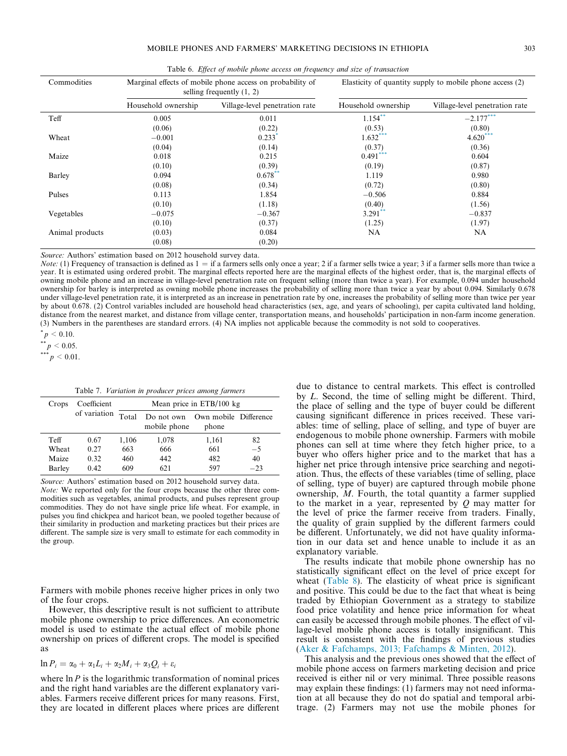<span id="page-7-0"></span>

| Commodities     | Marginal effects of mobile phone access on probability of<br>selling frequently $(1, 2)$ |                                | Elasticity of quantity supply to mobile phone access (2) |                                |  |
|-----------------|------------------------------------------------------------------------------------------|--------------------------------|----------------------------------------------------------|--------------------------------|--|
|                 | Household ownership                                                                      | Village-level penetration rate | Household ownership                                      | Village-level penetration rate |  |
| Teff            | 0.005                                                                                    | 0.011                          | $1.154$ **                                               | $-2.177***$                    |  |
|                 | (0.06)                                                                                   | (0.22)                         | (0.53)                                                   | (0.80)                         |  |
| Wheat           | $-0.001$                                                                                 | 0.233                          | $1.632***$                                               | $4.620***$                     |  |
|                 | (0.04)                                                                                   | (0.14)                         | (0.37)                                                   | (0.36)                         |  |
| Maize           | 0.018                                                                                    | 0.215                          | $0.491***$                                               | 0.604                          |  |
|                 | (0.10)                                                                                   | (0.39)                         | (0.19)                                                   | (0.87)                         |  |
| Barley          | 0.094                                                                                    | $0.678***$                     | 1.119                                                    | 0.980                          |  |
|                 | (0.08)                                                                                   | (0.34)                         | (0.72)                                                   | (0.80)                         |  |
| Pulses          | 0.113                                                                                    | 1.854                          | $-0.506$                                                 | 0.884                          |  |
|                 | (0.10)                                                                                   | (1.18)                         | (0.40)                                                   | (1.56)                         |  |
| Vegetables      | $-0.075$                                                                                 | $-0.367$                       | $3.291$ **                                               | $-0.837$                       |  |
|                 | (0.10)                                                                                   | (0.37)                         | (1.25)                                                   | (1.97)                         |  |
| Animal products | (0.03)                                                                                   | 0.084                          | NA                                                       | NA                             |  |
|                 | (0.08)                                                                                   | (0.20)                         |                                                          |                                |  |

Table 6. Effect of mobile phone access on frequency and size of transaction

Source: Authors' estimation based on 2012 household survey data.

*Note:* (1) Frequency of transaction is defined as  $1 =$  if a farmers sells only once a year; 2 if a farmer sells twice a year; 3 if a farmer sells more than twice a year. It is estimated using ordered probit. The marginal effects reported here are the marginal effects of the highest order, that is, the marginal effects of owning mobile phone and an increase in village-level penetration rate on frequent selling (more than twice a year). For example, 0.094 under household ownership for barley is interpreted as owning mobile phone increases the probability of selling more than twice a year by about 0.094. Similarly 0.678 under village-level penetration rate, it is interpreted as an increase in penetration rate by one, increases the probability of selling more than twice per year by about 0.678. (2) Control variables included are household head characteristics (sex, age, and years of schooling), per capita cultivated land holding, distance from the nearest market, and distance from village center, transportation means, and households' participation in non-farm income generation. (3) Numbers in the parentheses are standard errors. (4) NA implies not applicable because the commodity is not sold to cooperatives.

 $p < 0.10$ .

 $p < 0.05$ .

 $*** p < 0.01$ .

| Table 7. Variation in producer prices among farmers |  |  |  |
|-----------------------------------------------------|--|--|--|
|                                                     |  |  |  |

| Crops  | Coefficient  | Mean price in ETB/100 kg |                            |                                |       |  |
|--------|--------------|--------------------------|----------------------------|--------------------------------|-------|--|
|        | of variation | Total                    | Do not own<br>mobile phone | Own mobile Difference<br>phone |       |  |
| Teff   | 0.67         | 1,106                    | 1,078                      | 1,161                          | 82    |  |
| Wheat  | 0.27         | 663                      | 666                        | 661                            | $-5$  |  |
| Maize  | 0.32         | 460                      | 442                        | 482                            | 40    |  |
| Barley | 0.42         | 609                      | 621                        | 597                            | $-23$ |  |

Source: Authors' estimation based on 2012 household survey data. Note: We reported only for the four crops because the other three commodities such as vegetables, animal products, and pulses represent group commodities. They do not have single price life wheat. For example, in pulses you find chickpea and haricot bean, we pooled together because of their similarity in production and marketing practices but their prices are different. The sample size is very small to estimate for each commodity in the group.

Farmers with mobile phones receive higher prices in only two of the four crops.

However, this descriptive result is not sufficient to attribute mobile phone ownership to price differences. An econometric model is used to estimate the actual effect of mobile phone ownership on prices of different crops. The model is specified as

$$
\ln P_i = \alpha_0 + \alpha_1 L_i + \alpha_2 M_i + \alpha_3 Q_i + \varepsilon_i
$$

where  $\ln P$  is the logarithmic transformation of nominal prices and the right hand variables are the different explanatory variables. Farmers receive different prices for many reasons. First, they are located in different places where prices are different due to distance to central markets. This effect is controlled by L. Second, the time of selling might be different. Third, the place of selling and the type of buyer could be different causing significant difference in prices received. These variables: time of selling, place of selling, and type of buyer are endogenous to mobile phone ownership. Farmers with mobile phones can sell at time where they fetch higher price, to a buyer who offers higher price and to the market that has a higher net price through intensive price searching and negotiation. Thus, the effects of these variables (time of selling, place of selling, type of buyer) are captured through mobile phone ownership, M. Fourth, the total quantity a farmer supplied to the market in a year, represented by  $Q$  may matter for the level of price the farmer receive from traders. Finally, the quality of grain supplied by the different farmers could be different. Unfortunately, we did not have quality information in our data set and hence unable to include it as an explanatory variable.

The results indicate that mobile phone ownership has no statistically significant effect on the level of price except for wheat [\(Table 8](#page-8-0)). The elasticity of wheat price is significant and positive. This could be due to the fact that wheat is being traded by Ethiopian Government as a strategy to stabilize food price volatility and hence price information for wheat can easily be accessed through mobile phones. The effect of village-level mobile phone access is totally insignificant. This result is consistent with the findings of previous studies ([Aker & Fafchamps, 2013; Fafchamps & Minten, 2012\)](#page-9-0).

This analysis and the previous ones showed that the effect of mobile phone access on farmers marketing decision and price received is either nil or very minimal. Three possible reasons may explain these findings: (1) farmers may not need information at all because they do not do spatial and temporal arbitrage. (2) Farmers may not use the mobile phones for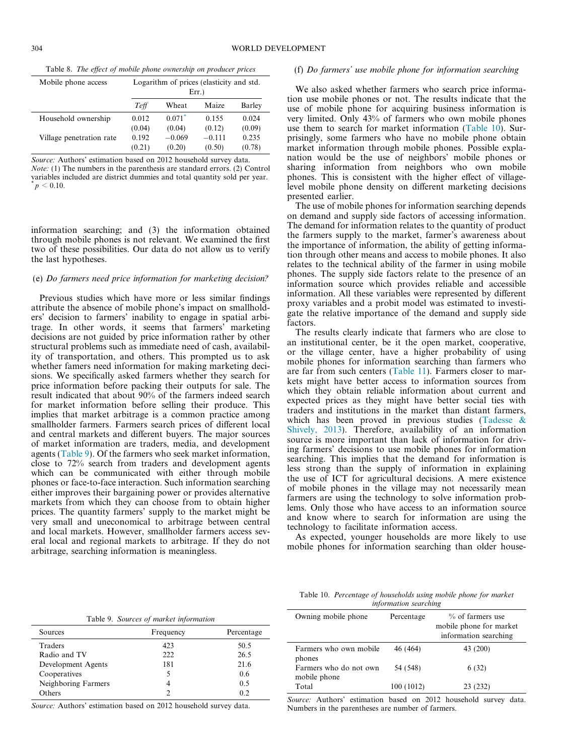<span id="page-8-0"></span>Table 8. The effect of mobile phone ownership on producer prices

| Mobile phone access      | Logarithm of prices (elasticity and std.<br>$Err.$ ) |                      |          |        |
|--------------------------|------------------------------------------------------|----------------------|----------|--------|
|                          | Teff                                                 | Wheat                | Maize    | Barley |
| Household ownership      | 0.012                                                | $0.071$ <sup>*</sup> | 0.155    | 0.024  |
|                          | (0.04)                                               | (0.04)               | (0.12)   | (0.09) |
| Village penetration rate | 0.192                                                | $-0.069$             | $-0.111$ | 0.235  |
|                          | (0.21)                                               | (0.20)               | (0.50)   | (0.78) |

Source: Authors' estimation based on 2012 household survey data. Note: (1) The numbers in the parenthesis are standard errors. (2) Control variables included are district dummies and total quantity sold per year.  $p < 0.10$ .

information searching; and (3) the information obtained through mobile phones is not relevant. We examined the first two of these possibilities. Our data do not allow us to verify the last hypotheses.

# (e) Do farmers need price information for marketing decision?

Previous studies which have more or less similar findings attribute the absence of mobile phone's impact on smallholders' decision to farmers' inability to engage in spatial arbitrage. In other words, it seems that farmers' marketing decisions are not guided by price information rather by other structural problems such as immediate need of cash, availability of transportation, and others. This prompted us to ask whether famers need information for making marketing decisions. We specifically asked farmers whether they search for price information before packing their outputs for sale. The result indicated that about 90% of the farmers indeed search for market information before selling their produce. This implies that market arbitrage is a common practice among smallholder farmers. Farmers search prices of different local and central markets and different buyers. The major sources of market information are traders, media, and development agents (Table 9). Of the farmers who seek market information, close to 72% search from traders and development agents which can be communicated with either through mobile phones or face-to-face interaction. Such information searching either improves their bargaining power or provides alternative markets from which they can choose from to obtain higher prices. The quantity farmers' supply to the market might be very small and uneconomical to arbitrage between central and local markets. However, smallholder farmers access several local and regional markets to arbitrage. If they do not arbitrage, searching information is meaningless.

#### (f) Do farmers' use mobile phone for information searching

We also asked whether farmers who search price information use mobile phones or not. The results indicate that the use of mobile phone for acquiring business information is very limited. Only 43% of farmers who own mobile phones use them to search for market information (Table 10). Surprisingly, some farmers who have no mobile phone obtain market information through mobile phones. Possible explanation would be the use of neighbors' mobile phones or sharing information from neighbors who own mobile phones. This is consistent with the higher effect of villagelevel mobile phone density on different marketing decisions presented earlier.

The use of mobile phones for information searching depends on demand and supply side factors of accessing information. The demand for information relates to the quantity of product the farmers supply to the market, farmer's awareness about the importance of information, the ability of getting information through other means and access to mobile phones. It also relates to the technical ability of the farmer in using mobile phones. The supply side factors relate to the presence of an information source which provides reliable and accessible information. All these variables were represented by different proxy variables and a probit model was estimated to investigate the relative importance of the demand and supply side factors.

The results clearly indicate that farmers who are close to an institutional center, be it the open market, cooperative, or the village center, have a higher probability of using mobile phones for information searching than farmers who are far from such centers [\(Table 11](#page-9-0)). Farmers closer to markets might have better access to information sources from which they obtain reliable information about current and expected prices as they might have better social ties with traders and institutions in the market than distant farmers, which has been proved in previous studies ([Tadesse &](#page-10-0) [Shively, 2013](#page-10-0)). Therefore, availability of an information source is more important than lack of information for driving farmers' decisions to use mobile phones for information searching. This implies that the demand for information is less strong than the supply of information in explaining the use of ICT for agricultural decisions. A mere existence of mobile phones in the village may not necessarily mean farmers are using the technology to solve information problems. Only those who have access to an information source and know where to search for information are using the technology to facilitate information access.

As expected, younger households are more likely to use mobile phones for information searching than older house-

| Table 9. Sources of market information |           |            |  |  |  |  |
|----------------------------------------|-----------|------------|--|--|--|--|
| Sources                                | Frequency | Percentage |  |  |  |  |
| <b>Traders</b>                         | 423       | 50.5       |  |  |  |  |
| Radio and TV                           | 222       | 26.5       |  |  |  |  |
| Development Agents                     | 181       | 21.6       |  |  |  |  |
| Cooperatives                           | 5         | 0.6        |  |  |  |  |
| Neighboring Farmers                    | 4         | 0.5        |  |  |  |  |
| Others                                 | っ         | 02         |  |  |  |  |
|                                        |           |            |  |  |  |  |

Source: Authors' estimation based on 2012 household survey data.

Table 10. Percentage of households using mobile phone for market information searching

| Owning mobile phone                    | Percentage | % of farmers use<br>mobile phone for market<br>information searching |
|----------------------------------------|------------|----------------------------------------------------------------------|
| Farmers who own mobile<br>phones       | 46 (464)   | 43 (200)                                                             |
| Farmers who do not own<br>mobile phone | 54 (548)   | 6 (32)                                                               |
| Total                                  | 100 (1012) | 23 (232)                                                             |

Source: Authors' estimation based on 2012 household survey data. Numbers in the parentheses are number of farmers.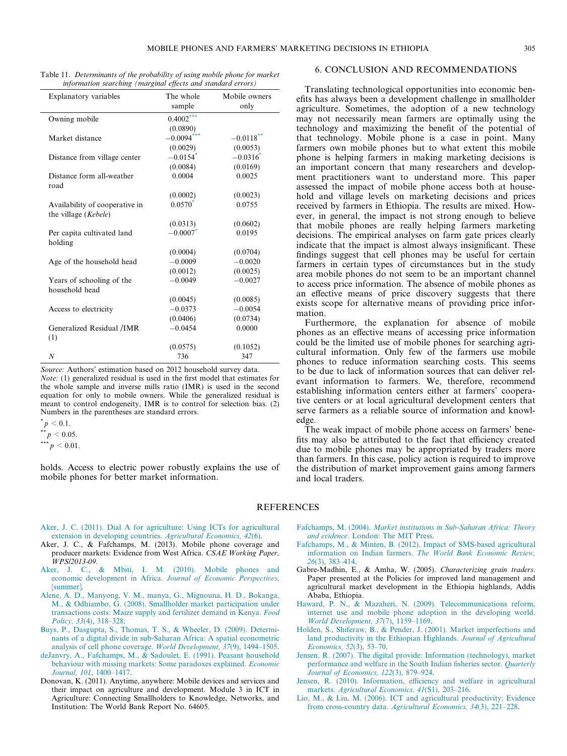| Explanatory variables                                           | The whole              | Mobile owners |  |
|-----------------------------------------------------------------|------------------------|---------------|--|
|                                                                 | sample                 | only          |  |
| Owning mobile                                                   | $0.4002***$            |               |  |
|                                                                 | (0.0890)               |               |  |
| Market distance                                                 | $-0.0094$ ***          | $-0.0118$ **  |  |
|                                                                 | (0.0029)               | (0.0053)      |  |
| Distance from village center                                    | $-0.0154$ <sup>*</sup> | $-0.0316^*$   |  |
|                                                                 | (0.0084)               | (0.0169)      |  |
| Distance form all-weather                                       | 0.0004                 | 0.0025        |  |
| road                                                            |                        |               |  |
|                                                                 | (0.0002)               | (0.0023)      |  |
| Availability of cooperative in<br>the village ( <i>Kebele</i> ) | $0.0570^*$             | 0.0755        |  |
|                                                                 | (0.0313)               | (0.0602)      |  |
| Per capita cultivated land                                      | $-0.0007$ *            | 0.0195        |  |
| holding                                                         |                        |               |  |
|                                                                 | (0.0004)               | (0.0704)      |  |
| Age of the household head                                       | $-0.0009$              | $-0.0020$     |  |
|                                                                 | (0.0012)               | (0.0025)      |  |
| Years of schooling of the                                       | $-0.0049$              | $-0.0027$     |  |
| household head                                                  |                        |               |  |
|                                                                 | (0.0045)               | (0.0085)      |  |
| Access to electricity                                           | $-0.0373$              | $-0.0054$     |  |
|                                                                 | (0.0406)               | (0.0734)      |  |
| Generalized Residual /IMR                                       | $-0.0454$              | 0.0000        |  |
| (1)                                                             |                        |               |  |
|                                                                 | (0.0575)               | (0.1052)      |  |
| $\boldsymbol{N}$                                                | 736                    | 347           |  |

<span id="page-9-0"></span>Table 11. Determinants of the probability of using mobile phone for market information searching (marginal effects and standard errors)

Source: Authors' estimation based on 2012 household survey data. Note: (1) generalized residual is used in the first model that estimates for the whole sample and inverse mills ratio (IMR) is used in the second equation for only to mobile owners. While the generalized residual is meant to control endogeneity, IMR is to control for selection bias. (2) Numbers in the parentheses are standard errors.

 $p < 0.1$ .  $*\hat{p}$  < 0.05.

 $*** p < 0.01$ .

holds. Access to electric power robustly explains the use of mobile phones for better market information.

6. CONCLUSION AND RECOMMENDATIONS

Translating technological opportunities into economic benefits has always been a development challenge in smallholder agriculture. Sometimes, the adoption of a new technology may not necessarily mean farmers are optimally using the technology and maximizing the benefit of the potential of that technology. Mobile phone is a case in point. Many farmers own mobile phones but to what extent this mobile phone is helping farmers in making marketing decisions is an important concern that many researchers and development practitioners want to understand more. This paper assessed the impact of mobile phone access both at household and village levels on marketing decisions and prices received by farmers in Ethiopia. The results are mixed. However, in general, the impact is not strong enough to believe that mobile phones are really helping farmers marketing decisions. The empirical analyses on farm gate prices clearly indicate that the impact is almost always insignificant. These findings suggest that cell phones may be useful for certain farmers in certain types of circumstances but in the study area mobile phones do not seem to be an important channel to access price information. The absence of mobile phones as an effective means of price discovery suggests that there exists scope for alternative means of providing price information.

Furthermore, the explanation for absence of mobile phones as an effective means of accessing price information could be the limited use of mobile phones for searching agricultural information. Only few of the farmers use mobile phones to reduce information searching costs. This seems to be due to lack of information sources that can deliver relevant information to farmers. We, therefore, recommend establishing information centers either at farmers' cooperative centers or at local agricultural development centers that serve farmers as a reliable source of information and knowledge.

The weak impact of mobile phone access on farmers' benefits may also be attributed to the fact that efficiency created due to mobile phones may be appropriated by traders more than farmers. In this case, policy action is required to improve the distribution of market improvement gains among farmers and local traders.

# REFERENCES

- [Aker, J. C. \(2011\). Dial A for agriculture: Using ICTs for agricultural](http://refhub.elsevier.com/S0305-750X(14)00408-2/h0005) [extension in developing countries.](http://refhub.elsevier.com/S0305-750X(14)00408-2/h0005) Agricultural Economics, 42(6).
- Aker, J. C., & Fafchamps, M. (2013). Mobile phone coverage and producer markets: Evidence from West Africa. CSAE Working Paper, WPS/2013-09.
- [Aker, J. C., & Mbiti, I. M. \(2010\). Mobile phones and](http://refhub.elsevier.com/S0305-750X(14)00408-2/h0015) [economic development in Africa.](http://refhub.elsevier.com/S0305-750X(14)00408-2/h0015) Journal of Economic Perspectives[,](http://refhub.elsevier.com/S0305-750X(14)00408-2/h0015) [\[summer\]](http://refhub.elsevier.com/S0305-750X(14)00408-2/h0015).
- [Alene, A. D., Manyong, V. M., manya, G., Mignouna, H. D., Bokanga,](http://refhub.elsevier.com/S0305-750X(14)00408-2/h0020) [M., & Odhiambo, G. \(2008\). Smallholder market participation under](http://refhub.elsevier.com/S0305-750X(14)00408-2/h0020) [transactions costs: Maize supply and fertilizer demand in Kenya.](http://refhub.elsevier.com/S0305-750X(14)00408-2/h0020) Food [Policy, 33](http://refhub.elsevier.com/S0305-750X(14)00408-2/h0020)(4[\), 318–328.](http://refhub.elsevier.com/S0305-750X(14)00408-2/h0020)
- [Buys, P., Dasgupta, S., Thomas, T. S., & Wheeler, D. \(2009\). Determi](http://refhub.elsevier.com/S0305-750X(14)00408-2/h0025)[nants of a digital divide in sub-Saharan Africa: A spatial econometric](http://refhub.elsevier.com/S0305-750X(14)00408-2/h0025) [analysis of cell phone coverage.](http://refhub.elsevier.com/S0305-750X(14)00408-2/h0025) World Development, 37(9[\), 1494–1505](http://refhub.elsevier.com/S0305-750X(14)00408-2/h0025).
- [deJanvry, A., Fafchamps, M., & Sadoulet, E. \(1991\). Peasant household](http://refhub.elsevier.com/S0305-750X(14)00408-2/h0030) [behaviour with missing markets: Some paradoxes explained.](http://refhub.elsevier.com/S0305-750X(14)00408-2/h0030) Economic [Journal, 101](http://refhub.elsevier.com/S0305-750X(14)00408-2/h0030)[, 1400–1417.](http://refhub.elsevier.com/S0305-750X(14)00408-2/h0030)
- Donovan, K. (2011). Anytime, anywhere: Mobile devices and services and their impact on agriculture and development. Module 3 in ICT in Agriculture: Connecting Smallholders to Knowledge, Networks, and Institution: The World Bank Report No. 64605.

Fafchamps, M. (2004). [Market institutions in Sub-Saharan Africa: Theory](http://refhub.elsevier.com/S0305-750X(14)00408-2/h0040) [and evidence](http://refhub.elsevier.com/S0305-750X(14)00408-2/h0040)[. London: The MIT Press](http://refhub.elsevier.com/S0305-750X(14)00408-2/h0040).

- [Fafchamps, M., & Minten, B. \(2012\). Impact of SMS-based agricultural](http://refhub.elsevier.com/S0305-750X(14)00408-2/h0045) information on Indian farmers. [The World Bank Economic Review,](http://refhub.elsevier.com/S0305-750X(14)00408-2/h0045) 26[\(3\), 383–414.](http://refhub.elsevier.com/S0305-750X(14)00408-2/h0045)
- Gabre-Madhin, E., & Amha, W. (2005). Characterizing grain traders. Paper presented at the Policies for improved land management and agricultural market development in the Ethiopia highlands, Addis Ababa, Ethiopia.
- [Haward, P. N., & Mazaheri, N. \(2009\). Telecommunications reform,](http://refhub.elsevier.com/S0305-750X(14)00408-2/h0055) [internet use and mobile phone adoption in the developing world.](http://refhub.elsevier.com/S0305-750X(14)00408-2/h0055) [World Development, 37](http://refhub.elsevier.com/S0305-750X(14)00408-2/h0055)(7)[, 1159–1169](http://refhub.elsevier.com/S0305-750X(14)00408-2/h0055).
- [Holden, S., Shiferaw, B., & Pender, J. \(2001\). Market imperfections and](http://refhub.elsevier.com/S0305-750X(14)00408-2/h0060) [land productivity in the Ethiopian Highlands.](http://refhub.elsevier.com/S0305-750X(14)00408-2/h0060) Journal of Agricultural [Economics, 52](http://refhub.elsevier.com/S0305-750X(14)00408-2/h0060)(3)[, 53–70](http://refhub.elsevier.com/S0305-750X(14)00408-2/h0060).
- [Jensen, R. \(2007\). The digital provide: Information \(technology\), market](http://refhub.elsevier.com/S0305-750X(14)00408-2/h0065) [performance and welfare in the South Indian fisheries sector.](http://refhub.elsevier.com/S0305-750X(14)00408-2/h0065) Quarterly [Journal of Economics, 122](http://refhub.elsevier.com/S0305-750X(14)00408-2/h0065)(3)[, 879–924](http://refhub.elsevier.com/S0305-750X(14)00408-2/h0065).
- [Jensen, R. \(2010\). Information, efficiency and welfare in agricultural](http://refhub.elsevier.com/S0305-750X(14)00408-2/h0070) markets. [Agricultural Economics, 41](http://refhub.elsevier.com/S0305-750X(14)00408-2/h0070)(S1), 203-216.
- [Lio, M., & Liu, M. \(2006\). ICT and agricultural productivity: Evidence](http://refhub.elsevier.com/S0305-750X(14)00408-2/h0075) from cross-country data. [Agricultural Economics, 34](http://refhub.elsevier.com/S0305-750X(14)00408-2/h0075)(3[\), 221–228](http://refhub.elsevier.com/S0305-750X(14)00408-2/h0075).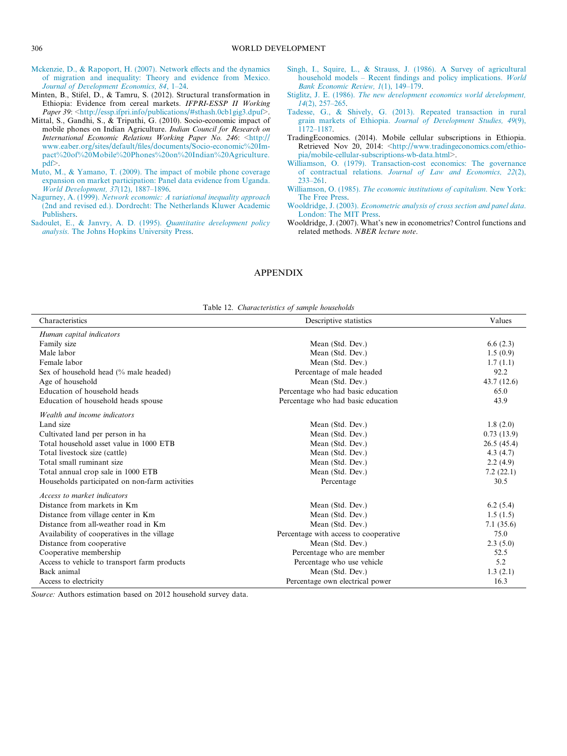# <span id="page-10-0"></span>306 WORLD DEVELOPMENT

- [Mckenzie, D., & Rapoport, H. \(2007\). Network effects and the dynamics](http://refhub.elsevier.com/S0305-750X(14)00408-2/h0080) [of migration and inequality: Theory and evidence from Mexico.](http://refhub.elsevier.com/S0305-750X(14)00408-2/h0080) [Journal of Development Economics, 84](http://refhub.elsevier.com/S0305-750X(14)00408-2/h0080)[, 1–24.](http://refhub.elsevier.com/S0305-750X(14)00408-2/h0080)
- Minten, B., Stifel, D., & Tamru, S. (2012). Structural transformation in Ethiopia: Evidence from cereal markets. IFPRI-ESSP II Working Paper 39: <<http://essp.ifpri.info/publications/#sthash.0cb1gig3.dpuf>>.
- Mittal, S., Gandhi, S., & Tripathi, G. (2010). Socio-economic impact of mobile phones on Indian Agriculture. Indian Council for Research on International Economic Relations Working Paper No. 246: <[http://](http://www.eaber.org/sites/default/files/documents/Socio-economic%20Impact%20of%20Mobile%20Phones%20on%20Indian%20Agriculture.pdf) [www.eaber.org/sites/default/files/documents/Socio-economic%20Im](http://www.eaber.org/sites/default/files/documents/Socio-economic%20Impact%20of%20Mobile%20Phones%20on%20Indian%20Agriculture.pdf)[pact%20of%20Mobile%20Phones%20on%20Indian%20Agriculture.](http://www.eaber.org/sites/default/files/documents/Socio-economic%20Impact%20of%20Mobile%20Phones%20on%20Indian%20Agriculture.pdf) [pdf>](http://www.eaber.org/sites/default/files/documents/Socio-economic%20Impact%20of%20Mobile%20Phones%20on%20Indian%20Agriculture.pdf).
- [Muto, M., & Yamano, T. \(2009\). The impact of mobile phone coverage](http://refhub.elsevier.com/S0305-750X(14)00408-2/h0095) [expansion on market participation: Panel data evidence from Uganda.](http://refhub.elsevier.com/S0305-750X(14)00408-2/h0095) [World Development, 37](http://refhub.elsevier.com/S0305-750X(14)00408-2/h0095)(12)[, 1887–1896](http://refhub.elsevier.com/S0305-750X(14)00408-2/h0095).
- Nagurney, A. (1999). [Network economic: A variational inequality approach](http://refhub.elsevier.com/S0305-750X(14)00408-2/h0100) [\(2nd and revised ed.\). Dordrecht: The Netherlands Kluwer Academic](http://refhub.elsevier.com/S0305-750X(14)00408-2/h0100) [Publishers](http://refhub.elsevier.com/S0305-750X(14)00408-2/h0100).
- [Sadoulet, E., & Janvry, A. D. \(1995\).](http://refhub.elsevier.com/S0305-750X(14)00408-2/h0105) Quantitative development policy [analysis](http://refhub.elsevier.com/S0305-750X(14)00408-2/h0105)[. The Johns Hopkins University Press](http://refhub.elsevier.com/S0305-750X(14)00408-2/h0105).
- [Singh, I., Squire, L., & Strauss, J. \(1986\). A Survey of agricultural](http://refhub.elsevier.com/S0305-750X(14)00408-2/h0110) [household models – Recent findings and policy implications.](http://refhub.elsevier.com/S0305-750X(14)00408-2/h0110) World [Bank Economic Review, 1](http://refhub.elsevier.com/S0305-750X(14)00408-2/h0110)(1[\), 149–179.](http://refhub.elsevier.com/S0305-750X(14)00408-2/h0110)
- Stiglitz, J. E. (1986). [The new development economics world development,](http://refhub.elsevier.com/S0305-750X(14)00408-2/h0115) 14[\(2\), 257–265](http://refhub.elsevier.com/S0305-750X(14)00408-2/h0115).
- [Tadesse, G., & Shively, G. \(2013\). Repeated transaction in rural](http://refhub.elsevier.com/S0305-750X(14)00408-2/h0120) grain markets of Ethiopia. [Journal of Development Studies, 49](http://refhub.elsevier.com/S0305-750X(14)00408-2/h0120)(9)[,](http://refhub.elsevier.com/S0305-750X(14)00408-2/h0120) [1172–1187](http://refhub.elsevier.com/S0305-750X(14)00408-2/h0120).
- TradingEconomics. (2014). Mobile cellular subscriptions in Ethiopia. Retrieved Nov 20, 2014: [<http://www.tradingeconomics.com/ethio](http://www.tradingeconomics.com/ethiopia/mobile-cellular-subscriptions-wb-data.html)[pia/mobile-cellular-subscriptions-wb-data.html>](http://www.tradingeconomics.com/ethiopia/mobile-cellular-subscriptions-wb-data.html).
- [Williamson, O. \(1979\). Transaction-cost economics: The governance](http://refhub.elsevier.com/S0305-750X(14)00408-2/h0130) of contractual relations. [Journal of Law and Economics, 22](http://refhub.elsevier.com/S0305-750X(14)00408-2/h0130)(2)[,](http://refhub.elsevier.com/S0305-750X(14)00408-2/h0130) [233–261](http://refhub.elsevier.com/S0305-750X(14)00408-2/h0130).
- Williamson, O. (1985). [The economic institutions of capitalism](http://refhub.elsevier.com/S0305-750X(14)00408-2/h0135)[. New York:](http://refhub.elsevier.com/S0305-750X(14)00408-2/h0135) [The Free Press.](http://refhub.elsevier.com/S0305-750X(14)00408-2/h0135)
- Wooldridge, J. (2003). [Econometric analysis of cross section and panel data](http://refhub.elsevier.com/S0305-750X(14)00408-2/h0140)[.](http://refhub.elsevier.com/S0305-750X(14)00408-2/h0140) [London: The MIT Press.](http://refhub.elsevier.com/S0305-750X(14)00408-2/h0140)
- Wooldridge, J. (2007). What's new in econometrics? Control functions and related methods. NBER lecture note.

# APPENDIX

|  | Table 12. Characteristics of sample households |  |  |  |
|--|------------------------------------------------|--|--|--|
|--|------------------------------------------------|--|--|--|

| Characteristics                                | Descriptive statistics                | Values     |
|------------------------------------------------|---------------------------------------|------------|
| Human capital indicators                       |                                       |            |
| Family size                                    | Mean (Std. Dev.)                      | 6.6(2.3)   |
| Male labor                                     | Mean (Std. Dev.)                      | 1.5(0.9)   |
| Female labor                                   | Mean (Std. Dev.)                      | 1.7(1.1)   |
| Sex of household head (% male headed)          | Percentage of male headed             | 92.2       |
| Age of household                               | Mean (Std. Dev.)                      | 43.7(12.6) |
| Education of household heads                   | Percentage who had basic education    | 65.0       |
| Education of household heads spouse            | Percentage who had basic education    | 43.9       |
| Wealth and income indicators                   |                                       |            |
| Land size                                      | Mean (Std. Dev.)                      | 1.8(2.0)   |
| Cultivated land per person in ha               | Mean (Std. Dev.)                      | 0.73(13.9) |
| Total household asset value in 1000 ETB        | Mean (Std. Dev.)                      | 26.5(45.4) |
| Total livestock size (cattle)                  | Mean (Std. Dev.)                      | 4.3(4.7)   |
| Total small ruminant size                      | Mean (Std. Dev.)                      | 2.2(4.9)   |
| Total annual crop sale in 1000 ETB             | Mean (Std. Dev.)                      | 7.2(22.1)  |
| Households participated on non-farm activities | Percentage                            | 30.5       |
| Access to market indicators                    |                                       |            |
| Distance from markets in Km                    | Mean (Std. Dev.)                      | 6.2(5.4)   |
| Distance from village center in Km             | Mean (Std. Dev.)                      | 1.5(1.5)   |
| Distance from all-weather road in Km           | Mean (Std. Dev.)                      | 7.1(35.6)  |
| Availability of cooperatives in the village    | Percentage with access to cooperative | 75.0       |
| Distance from cooperative                      | Mean (Std. Dev.)                      | 2.3(5.0)   |
| Cooperative membership                         | Percentage who are member             | 52.5       |
| Access to vehicle to transport farm products   | Percentage who use vehicle            | 5.2        |
| Back animal                                    | Mean (Std. Dev.)                      | 1.3(2.1)   |
| Access to electricity                          | Percentage own electrical power       | 16.3       |

Source: Authors estimation based on 2012 household survey data.